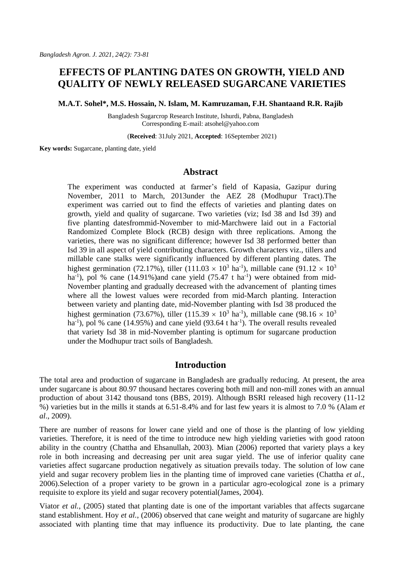# **EFFECTS OF PLANTING DATES ON GROWTH, YIELD AND QUALITY OF NEWLY RELEASED SUGARCANE VARIETIES**

**M.A.T. Sohel\*, M.S. Hossain, N. Islam, M. Kamruzaman, F.H. Shantaand R.R. Rajib**

Bangladesh Sugarcrop Research Institute, Ishurdi, Pabna, Bangladesh Corresponding E-mail: atsohel@yahoo.com

(**Received**: 31July 2021, **Accepted**: 16September 2021)

**Key words:** Sugarcane, planting date, yield

# **Abstract**

The experiment was conducted at farmer's field of Kapasia, Gazipur during November, 2011 to March, 2013under the AEZ 28 (Modhupur Tract).The experiment was carried out to find the effects of varieties and planting dates on growth, yield and quality of sugarcane. Two varieties (viz; Isd 38 and Isd 39) and five planting datesfrommid-November to mid-Marchwere laid out in a Factorial Randomized Complete Block (RCB) design with three replications. Among the varieties, there was no significant difference; however Isd 38 performed better than Isd 39 in all aspect of yield contributing characters. Growth characters viz., tillers and millable cane stalks were significantly influenced by different planting dates. The highest germination (72.17%), tiller (111.03  $\times$  10<sup>3</sup> ha<sup>-1</sup>), millable cane (91.12  $\times$  10<sup>3</sup> ha<sup>-1</sup>), pol % cane (14.91%)and cane yield (75.47 t ha<sup>-1</sup>) were obtained from mid-November planting and gradually decreased with the advancement of planting times where all the lowest values were recorded from mid-March planting. Interaction between variety and planting date, mid-November planting with Isd 38 produced the highest germination (73.67%), tiller (115.39  $\times$  10<sup>3</sup> ha<sup>-1</sup>), millable cane (98.16  $\times$  10<sup>3</sup> ha<sup>-1</sup>), pol % cane (14.95%) and cane yield (93.64 t ha<sup>-1</sup>). The overall results revealed that variety Isd 38 in mid-November planting is optimum for sugarcane production under the Modhupur tract soils of Bangladesh.

### **Introduction**

The total area and production of sugarcane in Bangladesh are gradually reducing. At present, the area under sugarcane is about 80.97 thousand hectares covering both mill and non-mill zones with an annual production of about 3142 thousand tons (BBS, 2019). Although BSRI released high recovery (11-12 %) varieties but in the mills it stands at 6.51-8.4% and for last few years it is almost to 7.0 % (Alam *et al*., 2009).

There are number of reasons for lower cane yield and one of those is the planting of low yielding varieties. Therefore, it is need of the time to introduce new high yielding varieties with good ratoon ability in the country (Chattha and Ehsanullah, 2003). Mian (2006) reported that variety plays a key role in both increasing and decreasing per unit area sugar yield. The use of inferior quality cane varieties affect sugarcane production negatively as situation prevails today. The solution of low cane yield and sugar recovery problem lies in the planting time of improved cane varieties (Chattha *et al.*, 2006).Selection of a proper variety to be grown in a particular agro-ecological zone is a primary requisite to explore its yield and sugar recovery potential(James, 2004).

Viator *et al.*[, \(2005\)](http://researcherslinks.com/current-issues/Influence-of-Planting-Date%20on-Yield-and-Quality-of-Sugarcane-under-the-Agro-Climatic-Conditions-of-Mardan/14/1/1706/html#Viator--R.P.--E.P.-Richard-Jr.--D.D.-Garrison--E.O.-Dufrene-Jr.-and-T.L.-Tew.-2005) stated that planting date is one of the important variables that affects sugarcane stand establishment. Hoy *et al.*[, \(2006\)](http://researcherslinks.com/current-issues/Influence-of-Planting-Date%20on-Yield-and-Quality-of-Sugarcane-under-the-Agro-Climatic-Conditions-of-Mardan/14/1/1706/html#Hoy--J.W.--A.E.-Arceneaux-and-C.F.-Savario.-2006) observed that cane weight and maturity of sugarcane are highly associated with planting time that may influence its productivity. Due to late planting, the cane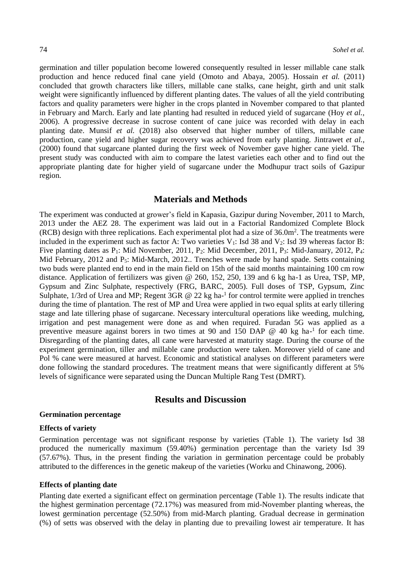germination and tiller population become lowered consequently resulted in lesser millable cane stalk production and hence reduced final cane yield [\(Omoto and Abaya, 2005\)](http://researcherslinks.com/current-issues/Influence-of-Planting-Date%20on-Yield-and-Quality-of-Sugarcane-under-the-Agro-Climatic-Conditions-of-Mardan/14/1/1706/html#Omoto--G.-and-G.O.-Abayo.-2005.-Effect-of-delayed-planti). Hossain *et al.* (2011) concluded that growth characters like tillers, millable cane stalks, cane height, girth and unit stalk weight were significantly influenced by different planting dates. The values of all the yield contributing factors and quality parameters were higher in the crops planted in November compared to that planted in February and March. Early and late planting had resulted in reduced yield of sugarcane [\(Hoy](http://researcherslinks.com/current-issues/Influence-of-Planting-Date%20on-Yield-and-Quality-of-Sugarcane-under-the-Agro-Climatic-Conditions-of-Mardan/14/1/1706/html#Hoy--J.W.--A.E.-Arceneaux-and-C.F.-Savario.-2006) *et al.*, [2006\)](http://researcherslinks.com/current-issues/Influence-of-Planting-Date%20on-Yield-and-Quality-of-Sugarcane-under-the-Agro-Climatic-Conditions-of-Mardan/14/1/1706/html#Hoy--J.W.--A.E.-Arceneaux-and-C.F.-Savario.-2006). A progressive decrease in sucrose content of cane juice was recorded with delay in each planting date. Munsif *et al.* (2018) also observed that higher number of tillers, millable cane production, cane yield and higher sugar recovery was achieved from early planting. [Jintrawet](http://researcherslinks.com/current-issues/Influence-of-Planting-Date%20on-Yield-and-Quality-of-Sugarcane-under-the-Agro-Climatic-Conditions-of-Mardan/14/1/1706/html#Jintrawet--A.) *et al.*, [\(2000\)](http://researcherslinks.com/current-issues/Influence-of-Planting-Date%20on-Yield-and-Quality-of-Sugarcane-under-the-Agro-Climatic-Conditions-of-Mardan/14/1/1706/html#Jintrawet--A.) found that sugarcane planted during the first week of November gave higher cane yield. The present study was conducted with aim to compare the latest varieties each other and to find out the appropriate planting date for higher yield of sugarcane under the Modhupur tract soils of Gazipur region.

# **Materials and Methods**

The experiment was conducted at grower's field in Kapasia, Gazipur during November, 2011 to March, 2013 under the AEZ 28. The experiment was laid out in a Factorial Randomized Complete Block  $(RCB)$  design with three replications. Each experimental plot had a size of 36.0m<sup>2</sup>. The treatments were included in the experiment such as factor A: Two varieties  $V_1$ : Isd 38 and  $V_2$ : Isd 39 whereas factor B: Five planting dates as  $P_1$ : Mid November, 2011,  $P_2$ : Mid December, 2011,  $P_3$ : Mid-January, 2012,  $P_4$ : Mid February, 2012 and  $P_5$ : Mid-March, 2012.. Trenches were made by hand spade. Setts containing two buds were planted end to end in the main field on 15th of the said months maintaining 100 cm row distance. Application of fertilizers was given @ 260, 152, 250, 139 and 6 kg ha-1 as Urea, TSP, MP, Gypsum and Zinc Sulphate, respectively (FRG, BARC, 2005). Full doses of TSP, Gypsum, Zinc Sulphate, 1/3rd of Urea and MP; Regent 3GR @ 22 kg ha-<sup>1</sup> for control termite were applied in trenches during the time of plantation. The rest of MP and Urea were applied in two equal splits at early tillering stage and late tillering phase of sugarcane. Necessary intercultural operations like weeding, mulching, irrigation and pest management were done as and when required. Furadan 5G was applied as a preventive measure against borers in two times at 90 and 150 DAP  $\omega$  40 kg ha<sup>-1</sup> for each time. Disregarding of the planting dates, all cane were harvested at maturity stage. During the course of the experiment germination, tiller and millable cane production were taken. Moreover yield of cane and Pol % cane were measured at harvest. Economic and statistical analyses on different parameters were done following the standard procedures. The treatment means that were significantly different at 5% levels of significance were separated using the Duncan Multiple Rang Test (DMRT).

# **Results and Discussion**

### **Germination percentage**

#### **Effects of variety**

Germination percentage was not significant response by varieties (Table 1). The variety Isd 38 produced the numerically maximum (59.40%) germination percentage than the variety Isd 39 (57.67%). Thus, in the present finding the variation in germination percentage could be probably attributed to the differences in the genetic makeup of the varieties (Worku and Chinawong, 2006).

#### **Effects of planting date**

Planting date exerted a significant effect on germination percentage (Table 1). The results indicate that the highest germination percentage (72.17%) was measured from mid-November planting whereas, the lowest germination percentage (52.50%) from mid-March planting. Gradual decrease in germination (%) of setts was observed with the delay in planting due to prevailing lowest air temperature. It has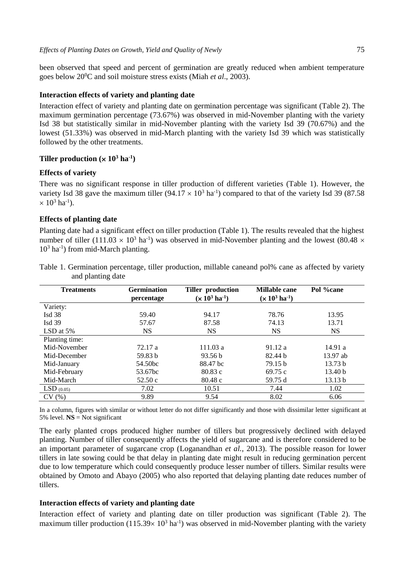been observed that speed and percent of germination are greatly reduced when ambient temperature goes below 20<sup>0</sup>C and soil moisture stress exists (Miah *et al*., 2003).

#### **Interaction effects of variety and planting date**

Interaction effect of variety and planting date on germination percentage was significant (Table 2). The maximum germination percentage (73.67%) was observed in mid-November planting with the variety Isd 38 but statistically similar in mid-November planting with the variety Isd 39 (70.67%) and the lowest (51.33%) was observed in mid-March planting with the variety Isd 39 which was statistically followed by the other treatments.

### **Tiller production**  $(\times 10^3 \text{ ha}^{-1})$

#### **Effects of variety**

There was no significant response in tiller production of different varieties (Table 1). However, the variety Isd 38 gave the maximum tiller  $(94.17 \times 10^3 \text{ ha}^{-1})$  compared to that of the variety Isd 39 (87.58)  $\times$  10<sup>3</sup> ha<sup>-1</sup>).

# **Effects of planting date**

Planting date had a significant effect on tiller production (Table 1). The results revealed that the highest number of tiller (111.03  $\times$  10<sup>3</sup> ha<sup>-1</sup>) was observed in mid-November planting and the lowest (80.48  $\times$ 10<sup>3</sup> ha<sup>-1</sup>) from mid-March planting.

| <b>Treatments</b> | <b>Germination</b><br>percentage | Tiller production<br>$(x 10^3 \text{ ha}^{-1})$ | Millable cane<br>$(x 10^3 \text{ ha}^{-1})$ | Pol %cane          |
|-------------------|----------------------------------|-------------------------------------------------|---------------------------------------------|--------------------|
| Variety:          |                                  |                                                 |                                             |                    |
| Isd $38$          | 59.40                            | 94.17                                           | 78.76                                       | 13.95              |
| Isd $39$          | 57.67                            | 87.58                                           | 74.13                                       | 13.71              |
| LSD at $5\%$      | NS.                              | <b>NS</b>                                       | <b>NS</b>                                   | <b>NS</b>          |
| Planting time:    |                                  |                                                 |                                             |                    |
| Mid-November      | 72.17 a                          | 111.03a                                         | 91.12a                                      | 14.91a             |
| Mid-December      | 59.83 b                          | 93.56 b                                         | 82.44 b                                     | 13.97 ab           |
| Mid-January       | 54.50bc                          | 88.47 bc                                        | 79.15 <sub>b</sub>                          | 13.73 b            |
| Mid-February      | 53.67bc                          | 80.83c                                          | 69.75 c                                     | 13.40 <sub>b</sub> |
| Mid-March         | 52.50c                           | 80.48c                                          | 59.75 d                                     | 13.13 b            |
| $LSD$ (0.05)      | 7.02                             | 10.51                                           | 7.44                                        | 1.02               |
| CV(%)             | 9.89                             | 9.54                                            | 8.02                                        | 6.06               |

Table 1. Germination percentage, tiller production, millable caneand pol% cane as affected by variety and planting date

In a column, figures with similar or without letter do not differ significantly and those with dissimilar letter significant at 5% level.  $\text{NS} = \text{Not significant}$ 

The early planted crops produced higher number of tillers but progressively declined with delayed planting. Number of tiller consequently affects the yield of sugarcane and is therefore considered to be an important parameter of sugarcane crop [\(Loganandhan](http://researcherslinks.com/current-issues/Influence-of-Planting-Date%20on-Yield-and-Quality-of-Sugarcane-under-the-Agro-Climatic-Conditions-of-Mardan/14/1/1706/html#Loganandhan--N.--Gujja--Biksham--Goud--Vinod-and-U.S.-Natarajan.-2013) *et al.*, 2013). The possible reason for lower tillers in late sowing could be that delay in planting date might result in reducing germination percent due to low temperature which could consequently produce lesser number of tillers. Similar results were obtained by [Omoto and Abayo \(2005\)](http://researcherslinks.com/current-issues/Influence-of-Planting-Date%20on-Yield-and-Quality-of-Sugarcane-under-the-Agro-Climatic-Conditions-of-Mardan/14/1/1706/html#Omoto--G.-and-G.O.-Abayo.-2005.-Effect-of-delayed-planti) who also reported that delaying planting date reduces number of tillers.

#### **Interaction effects of variety and planting date**

Interaction effect of variety and planting date on tiller production was significant (Table 2). The maximum tiller production  $(115.39 \times 10^3 \text{ ha}^{-1})$  was observed in mid-November planting with the variety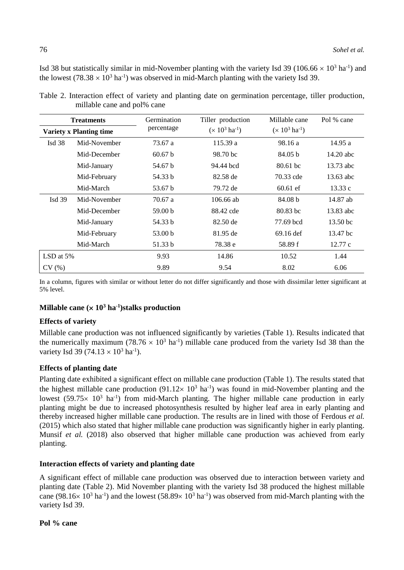Isd 38 but statistically similar in mid-November planting with the variety Isd 39 (106.66  $\times$  10<sup>3</sup> ha<sup>-1</sup>) and the lowest  $(78.38 \times 10^3 \text{ ha}^{-1})$  was observed in mid-March planting with the variety Isd 39.

| <b>Treatments</b>              |              | Germination        | Tiller production          | Millable cane              | Pol % cane          |
|--------------------------------|--------------|--------------------|----------------------------|----------------------------|---------------------|
| <b>Variety x Planting time</b> |              | percentage         | $(x 10^3 \text{ ha}^{-1})$ | $(x 10^3 \text{ ha}^{-1})$ |                     |
| Isd $38$                       | Mid-November | 73.67 a            | 115.39 a                   | 98.16 a                    | 14.95 a             |
|                                | Mid-December | 60.67 <sub>b</sub> | 98.70 bc                   | 84.05 <sub>b</sub>         | $14.20$ abc         |
|                                | Mid-January  | 54.67 b            | 94.44 bcd                  | $80.61$ bc                 | 13.73 abc           |
|                                | Mid-February | 54.33 b            | 82.58 de                   | 70.33 cde                  | 13.63 abc           |
|                                | Mid-March    | 53.67 b            | 79.72 de                   | $60.61$ ef                 | 13.33c              |
| Isd $39$                       | Mid-November | 70.67 a            | 106.66 ab                  | 84.08 b                    | 14.87 ab            |
|                                | Mid-December | 59.00 <sub>b</sub> | 88.42 cde                  | 80.83 hc                   | 13.83 abc           |
|                                | Mid-January  | 54.33 b            | 82.50 de                   | 77.69 bcd                  | 13.50 <sub>bc</sub> |
|                                | Mid-February | 53.00 b            | 81.95 de                   | $69.16$ def                | 13.47 bc            |
|                                | Mid-March    | 51.33 b            | 78.38 e                    | 58.89 f                    | 12.77c              |
| LSD at $5%$                    |              | 9.93               | 14.86                      | 10.52                      | 1.44                |
| CV(%)                          |              | 9.89               | 9.54                       | 8.02                       | 6.06                |

Table 2. Interaction effect of variety and planting date on germination percentage, tiller production, millable cane and pol% cane

In a column, figures with similar or without letter do not differ significantly and those with dissimilar letter significant at 5% level.

# **Millable cane ( 10<sup>3</sup> ha-1 )stalks production**

### **Effects of variety**

Millable cane production was not influenced significantly by varieties (Table 1). Results indicated that the numerically maximum (78.76  $\times$  10<sup>3</sup> ha<sup>-1</sup>) millable cane produced from the variety Isd 38 than the variety Isd 39 (74.13  $\times$  10<sup>3</sup> ha<sup>-1</sup>).

# **Effects of planting date**

Planting date exhibited a significant effect on millable cane production (Table 1). The results stated that the highest millable cane production  $(91.12 \times 10^3 \text{ ha}^{-1})$  was found in mid-November planting and the lowest (59.75 $\times$  10<sup>3</sup> ha<sup>-1</sup>) from mid-March planting. The higher millable cane production in early planting might be due to increased photosynthesis resulted by higher leaf area in early planting and thereby increased higher millable cane production. The results are in lined with those of [Ferdous](http://researcherslinks.com/current-issues/Influence-of-Planting-Date%20on-Yield-and-Quality-of-Sugarcane-under-the-Agro-Climatic-Conditions-of-Mardan/14/1/1706/html#Ferdous--H.M.--Q.A.-Khaliq-and-A.-Karim.-2015.-Ef) *et al.* [\(2015\)](http://researcherslinks.com/current-issues/Influence-of-Planting-Date%20on-Yield-and-Quality-of-Sugarcane-under-the-Agro-Climatic-Conditions-of-Mardan/14/1/1706/html#Ferdous--H.M.--Q.A.-Khaliq-and-A.-Karim.-2015.-Ef) which also stated that higher millable cane production was significantly higher in early planting. Munsif *et al.* (2018) also observed that higher millable cane production was achieved from early planting.

# **Interaction effects of variety and planting date**

A significant effect of millable cane production was observed due to interaction between variety and planting date (Table 2). Mid November planting with the variety Isd 38 produced the highest millable cane (98.16 $\times$  10<sup>3</sup> ha<sup>-1</sup>) and the lowest (58.89 $\times$  10<sup>3</sup> ha<sup>-1</sup>) was observed from mid-March planting with the variety Isd 39.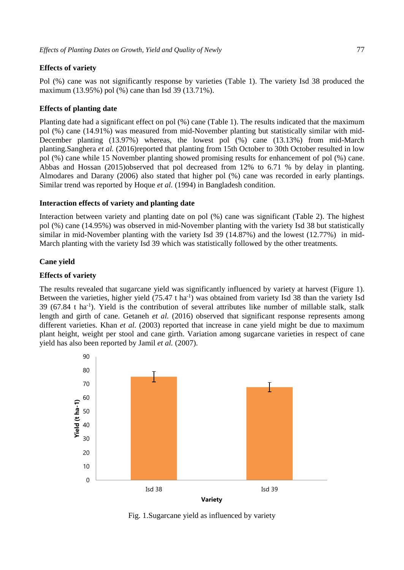### **Effects of variety**

Pol (%) cane was not significantly response by varieties (Table 1). The variety Isd 38 produced the maximum (13.95%) pol (%) cane than Isd 39 (13.71%).

### **Effects of planting date**

Planting date had a significant effect on pol (%) cane (Table 1). The results indicated that the maximum pol (%) cane (14.91%) was measured from mid-November planting but statistically similar with mid-December planting (13.97%) whereas, the lowest pol (%) cane (13.13%) from mid-March plantin[g.Sanghera](http://researcherslinks.com/current-issues/Influence-of-Planting-Date%20on-Yield-and-Quality-of-Sugarcane-under-the-Agro-Climatic-Conditions-of-Mardan/14/1/1706/html#Sanghera--G.S.--R.-Kumar--V.-Tyagi--K.S.-Thind-and-B.-Sharma.-2016.) *et al.* (2016)reported that planting from 15th October to 30th October resulted in low pol (%) cane while 15 November planting showed promising results for enhancement of pol (%) cane. [Abbas and Hossan \(2015\)o](http://researcherslinks.com/current-issues/Influence-of-Planting-Date%20on-Yield-and-Quality-of-Sugarcane-under-the-Agro-Climatic-Conditions-of-Mardan/14/1/1706/html#Abbas--A.-and-S.-Hossan)bserved that pol decreased from 12% to 6.71 % by delay in planting. Almodares [and Darany \(2006\)](http://researcherslinks.com/current-issues/Influence-of-Planting-Date%20on-Yield-and-Quality-of-Sugarcane-under-the-Agro-Climatic-Conditions-of-Mardan/14/1/1706/html#Almodares--A.-and-S.M.) also stated that higher pol (%) cane was recorded in early plantings. Similar trend was reported by Hoque *et al.* (1994) in Bangladesh condition.

#### **Interaction effects of variety and planting date**

Interaction between variety and planting date on pol (%) cane was significant (Table 2). The highest pol (%) cane (14.95%) was observed in mid-November planting with the variety Isd 38 but statistically similar in mid-November planting with the variety Isd 39 (14.87%) and the lowest (12.77%) in mid-March planting with the variety Isd 39 which was statistically followed by the other treatments.

#### **Cane yield**

#### **Effects of variety**

The results revealed that sugarcane yield was significantly influenced by variety at harvest (Figure 1). Between the varieties, higher yield (75.47 t ha<sup>-1</sup>) was obtained from variety Isd 38 than the variety Isd 39 (67.84 t ha-1 ). Yield is the contribution of several attributes like number of millable stalk, stalk length and girth of cane. Getaneh *et al.* (2016) observed that significant response represents among different varieties. Khan *et al.* (2003) reported that increase in cane yield might be due to maximum plant height, weight per stool and cane girth. Variation among sugarcane varieties in respect of cane yield has also been reported by Jamil *et al.* (2007).



Fig. 1.Sugarcane yield as influenced by variety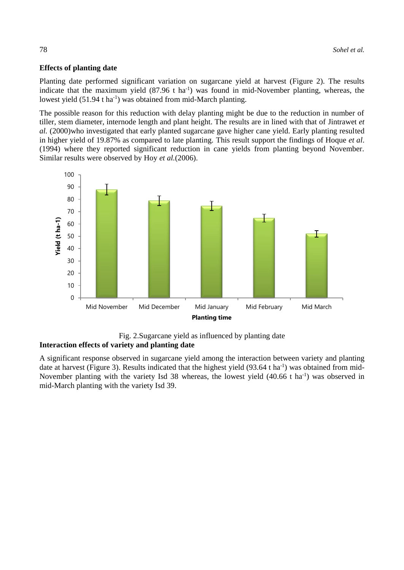### **Effects of planting date**

Planting date performed significant variation on sugarcane yield at harvest (Figure 2). The results indicate that the maximum yield  $(87.96 \text{ t} \text{ ha}^{-1})$  was found in mid-November planting, whereas, the lowest yield (51.94 t ha<sup>-1</sup>) was obtained from mid-March planting.

The possible reason for this reduction with delay planting might be due to the reduction in number of tiller, stem diameter, internode length and plant height. The results are in lined with that of [Jintrawet](http://researcherslinks.com/current-issues/Influence-of-Planting-Date%20on-Yield-and-Quality-of-Sugarcane-under-the-Agro-Climatic-Conditions-of-Mardan/14/1/1706/html#Jintrawet--A.) *et al.* [\(2000\)w](http://researcherslinks.com/current-issues/Influence-of-Planting-Date%20on-Yield-and-Quality-of-Sugarcane-under-the-Agro-Climatic-Conditions-of-Mardan/14/1/1706/html#Jintrawet--A.)ho investigated that early planted sugarcane gave higher cane yield. Early planting resulted in higher yield of 19.87% as compared to late planting. This result support the findings of Hoque *et al*. (1994) where they reported significant reduction in cane yields from planting beyond November. Similar results were observed by Hoy *et al.*[\(2006\)](http://researcherslinks.com/current-issues/Influence-of-Planting-Date%20on-Yield-and-Quality-of-Sugarcane-under-the-Agro-Climatic-Conditions-of-Mardan/14/1/1706/html#Hoy--J.W.--A.E.-Arceneaux-and-C.F.-Savario.-2006).



Fig. 2.Sugarcane yield as influenced by planting date **Interaction effects of variety and planting date** 

A significant response observed in sugarcane yield among the interaction between variety and planting date at harvest (Figure 3). Results indicated that the highest yield  $(93.64 \text{ t} \text{ ha}^{-1})$  was obtained from mid-November planting with the variety Isd 38 whereas, the lowest yield (40.66 t ha<sup>-1</sup>) was observed in mid-March planting with the variety Isd 39.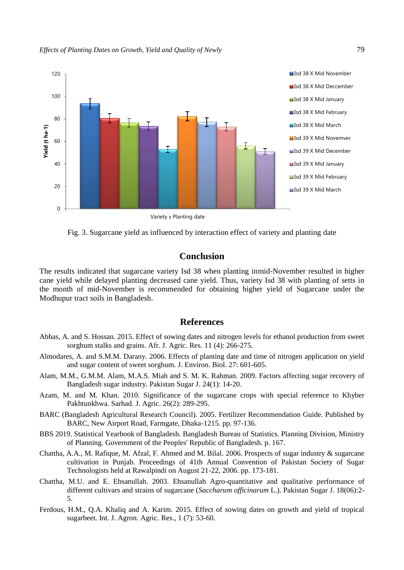

Fig. 3. Sugarcane yield as influenced by interaction effect of variety and planting date

# **Conclusion**

The results indicated that sugarcane variety Isd 38 when planting inmid-November resulted in higher cane yield while delayed planting decreased cane yield. Thus, variety Isd 38 with planting of setts in the month of mid-November is recommended for obtaining higher yield of Sugarcane under the Modhupur tract soils in Bangladesh.

# **References**

- Abbas, A. and S. Hossan. 2015. Effect of sowing dates and nitrogen levels for ethanol production from sweet sorghum stalks and grains. Afr. J. Agric. Res. 11 (4): 266-275.
- Almodares, A. and S.M.M. Darany. 2006. Effects of planting date and time of nitrogen application on yield and sugar content of sweet sorghum. J. Environ. Biol. 27: 601-605.
- Alam, M.M., G.M.M. Alam, M.A.S. Miah and S. M. K. Rahman. 2009. Factors affecting sugar recovery of Bangladesh sugar industry. Pakistan Sugar J. 24(1): 14-20.
- Azam, M. and M. Khan. 2010. Significance of the sugarcane crops with special reference to Khyber Pakhtunkhwa. Sarhad. J. Agric. 26(2): 289-295.
- BARC (Bangladesh Agricultural Research Council). 2005. Fertilizer Recommendation Guide. Published by BARC, New Airport Road, Farmgate, Dhaka-1215. pp. 97-136.
- BBS 2019. Statistical Yearbook of Bangladesh. Bangladesh Bureau of Statistics. Planning Division, Ministry of Planning. Government of the Peoples' Republic of Bangladesh. p. 167.
- Chattha, A.A., M. Rafique, M. Afzal, F. Ahmed and M. Bilal. 2006. Prospects of sugar industry & sugarcane cultivation in Punjab. Proceedings of 41th Annual Convention of Pakistan Society of Sugar Technologists held at Rawalpindi on August 21-22, 2006. pp. 173-181.
- Chattha, M.U. and E. Ehsanullah. 2003. Ehsanullah Agro-quantitative and qualitative performance of different cultivars and strains of sugarcane (*Saccharum officinarum* L.). Pakistan Sugar J. 18(06):2- 5.
- Ferdous, H.M., Q.A. Khaliq and A. Karim. 2015. Effect of sowing dates on growth and yield of tropical sugarbeet. Int. J. Agron. Agric. Res., 1 (7): 53-60.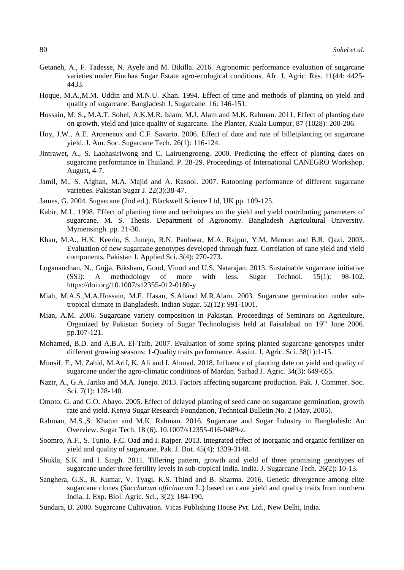- Getaneh, A., F. Tadesse, N. Ayele and M. Bikilla. 2016. Agronomic performance evaluation of sugarcane varieties under Finchaa Sugar Estate agro-ecological conditions. Afr. J. Agric. Res. 11(44: 4425- 4433.
- Hoque, M.A.,M.M. Uddin and M.N.U. Khan. 1994. Effect of time and methods of planting on yield and quality of sugarcane. Bangladesh J. Sugarcane. 16: 146-151.
- Hossain, M. S.**,** M.A.T. Sohel, A.K.M.R. Islam, M.J. Alam and M.K. Rahman. 2011. Effect of planting date on growth, yield and juice quality of sugarcane. The Planter, Kuala Lumpur, 87 (1028): 200-206.
- Hoy, J.W., A.E. Arceneaux and C.F. Savario. 2006. Effect of date and rate of billetplanting on sugarcane yield. J. Am. Soc. Sugarcane Tech. 26(1): 116-124.
- Jintrawet, A., S. Laohasiriwong and C. Lairuengroeng. 2000. Predicting the effect of planting dates on sugarcane performance in Thailand. P. 28-29. Proceedings of International CANEGRO Workshop. August, 4-7.
- Jamil, M., S. Afghan, M.A. Majid and A. Rasool. 2007. Ratooning performance of different sugarcane varieties. Pakistan Sugar J. 22(3):38-47.
- James, G. 2004. Sugarcane (2nd ed.). Blackwell Science Ltd, UK pp. 109-125.
- Kabir, M.L. 1998. Effect of planting time and techniques on the yield and yield contributing parameters of sugarcane. M. S. Thesis. Department of Agronomy. Bangladesh Agricultural University. Mymensingh. pp. 21-30.
- Khan, M.A., H.K. Keerio, S. Junejo, R.N. Panhwar, M.A. Rajput, Y.M. Memon and B.R. Qazi. 2003. Evaluation of new sugarcane genotypes developed through fuzz. Correlation of cane yield and yield components. Pakistan J. Applied Sci. 3(4): 270-273.
- Loganandhan, N., Gujja, Biksham, Goud, Vinod and U.S. Natarajan. 2013. Sustainable sugarcane initiative (SSI): A methodology of more with less. Sugar Technol. 15(1): 98-102. <https://doi.org/10.1007/s12355-012-0180-y>
- Miah, M.A.S.,M.A.Hossain, M.F. Hasan, S.Aliand M.R.Alam. 2003. Sugarcane germination under subtropical climate in Bangladesh. Indian Sugar. 52(12): 991-1001.
- Mian, A.M. 2006. Sugarcane variety composition in Pakistan. Proceedings of Seminars on Agriculture. Organized by Pakistan Society of Sugar Technologists held at Faisalabad on 19th June 2006. pp.107-121.
- Mohamed, B.D. and A.B.A. El-Taib. 2007. Evaluation of some spring planted sugarcane genotypes under different growing seasons: 1-Quality traits performance. Assiut. J. Agric. Sci. 38(1):1-15.
- Munsif, F., M. Zahid, M.Arif, K. Ali and I. Ahmad. 2018. Influence of planting date on yield and quality of sugarcane under the agro-climatic conditions of Mardan. Sarhad J. Agric. 34(3): 649-655.
- Nazir, A., G.A. Jariko and M.A. Junejo. 2013. Factors affecting sugarcane production. Pak. J. Commer. Soc. Sci. 7(1): 128-140.
- Omoto, G. and G.O. Abayo. 2005. Effect of delayed planting of seed cane on sugarcane germination, growth rate and yield. Kenya Sugar Research Foundation, Technical Bulletin No. 2 (May, 2005).
- Rahman, M.S.,S. Khatun and M.K. Rahman. 2016. Sugarcane and Sugar Industry in Bangladesh: An Overview. Sugar Tech. 18 (6). 10.1007/s12355-016-0489-z.
- Soomro, A.F., S. Tunio, F.C. Oad and I. Rajper. 2013. Integrated effect of inorganic and organic fertilizer on yield and quality of sugarcane. Pak. J. Bot. 45(4): 1339-3148.
- Shukla, S.K. and I. Singh. 2011. Tillering pattern, growth and yield of three promising genotypes of sugarcane under three fertility levels in sub-tropical India. India. J. Sugarcane Tech. 26(2): 10-13.
- Sanghera, G.S., R. Kumar, V. Tyagi, K.S. Thind and B. Sharma. 2016. Genetic divergence among elite sugarcane clones (*Saccharum officinarum* L.) based on cane yield and quality traits from northern India. J. Exp. Biol. Agric. Sci., 3(2): 184-190.
- Sundara, B. 2000. Sugarcane Cultivation. Vicas Publishing House Pvt. Ltd., New Delhi, India.